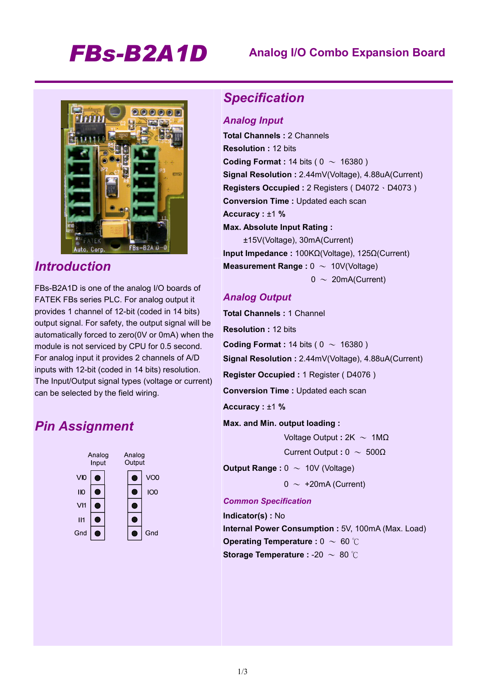# *FBs-B2A1D* **Analog I/O Combo Expansion Board**



### *Introduction*

FBs-B2A1D is one of the analog I/O boards of FATEK FBs series PLC. For analog output it provides 1 channel of 12-bit (coded in 14 bits) output signal. For safety, the output signal will be automatically forced to zero(0V or 0mA) when the module is not serviced by CPU for 0.5 second. For analog input it provides 2 channels of A/D inputs with 12-bit (coded in 14 bits) resolution. The Input/Output signal types (voltage or current) can be selected by the field wiring.

### *Pin Assignment*



#### *Specification*

#### *Analog Input*

**Total Channels :** 2 Channels **Resolution :** 12 bits **Coding Format : 14 bits (**  $0 \sim 16380$  **) Signal Resolution :** 2.44mV(Voltage), 4.88uA(Current) **Registers Occupied :** 2 Registers ( D4072、D4073 ) **Conversion Time :** Updated each scan **Accuracy :** ±1 **% Max. Absolute Input Rating :**  ±15V(Voltage), 30mA(Current)

**Input Impedance :** 100KΩ(Voltage), 125Ω(Current) **Measurement Range : 0 ~ 10V(Voltage)**  $0 \sim 20$ mA(Current)

#### *Analog Output*

**Total Channels :** 1 Channel **Resolution :** 12 bits **Coding Format : 14 bits (**  $0 \sim 16380$  **) Signal Resolution :** 2.44mV(Voltage), 4.88uA(Current) **Register Occupied :** 1 Register ( D4076 ) **Conversion Time :** Updated each scan

**Accuracy :** ±1 **%** 

**Max. and Min. output loading :** 

Voltage Output **:** 2K ~ 1MΩ

Current Output **:** 0 ~ 500Ω

**Output Range :**  $0 \sim 10V$  **(Voltage)** 

 $0 \sim +20$ mA (Current)

#### *Common Specification*

**Indicator(s) :** No **Internal Power Consumption :** 5V, 100mA (Max. Load) **Operating Temperature : 0 ~ 60 ℃ Storage Temperature :** -20 ~ 80 ℃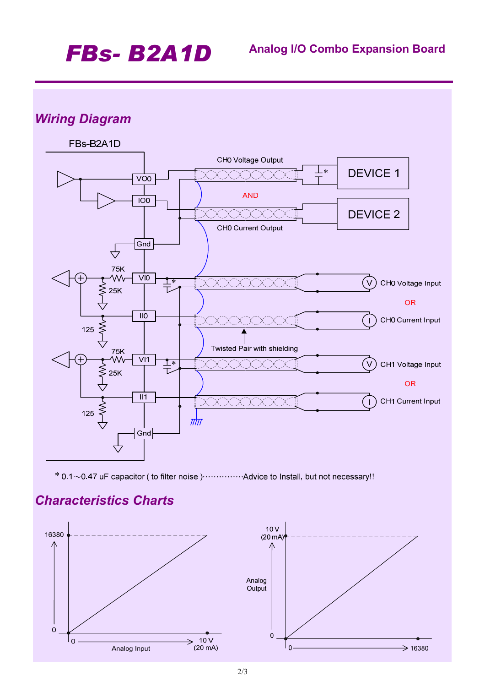# *FBs- B2A1D* **Analog I/O Combo Expansion Board**

# *Wiring Diagram*



\* 0.1~0.47 uF capacitor (to filter noise) ............... Advice to Install, but not necessary!!

## *Characteristics Charts*